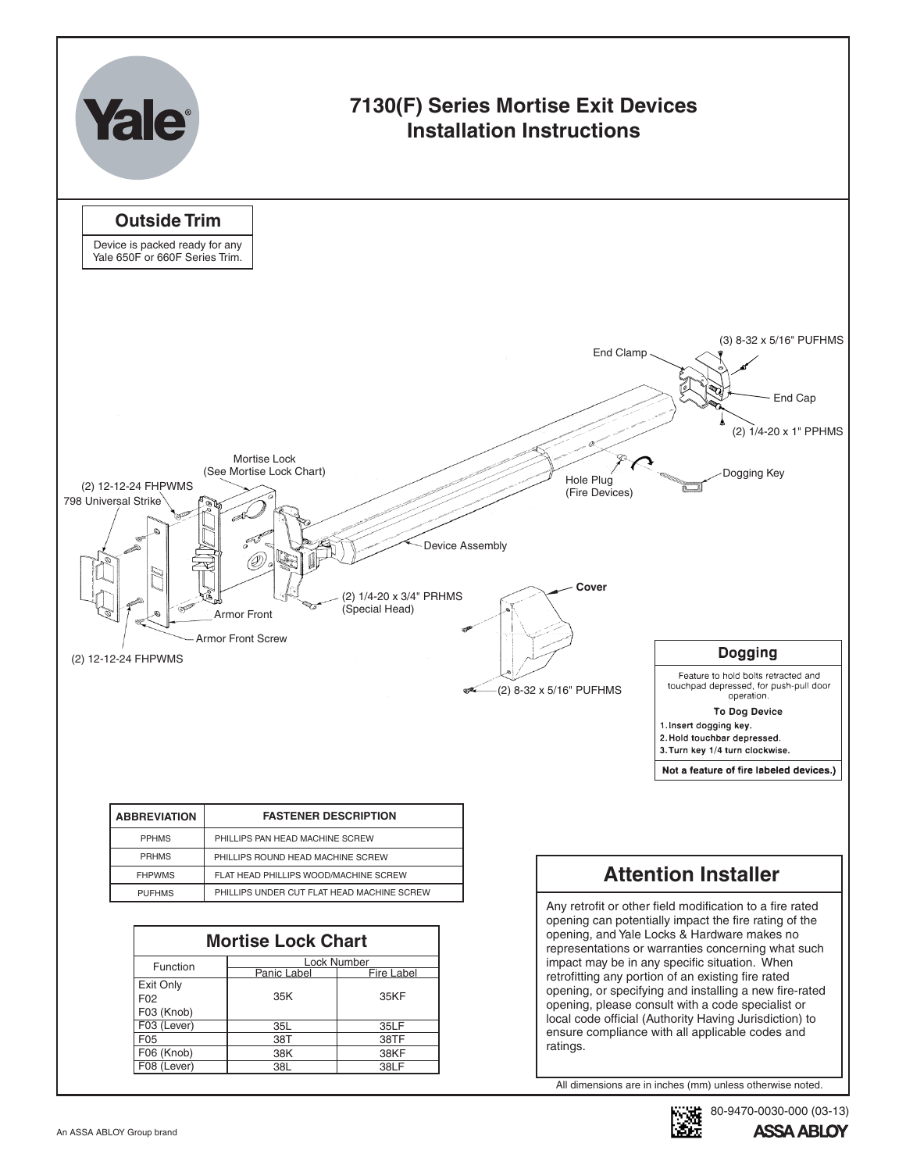

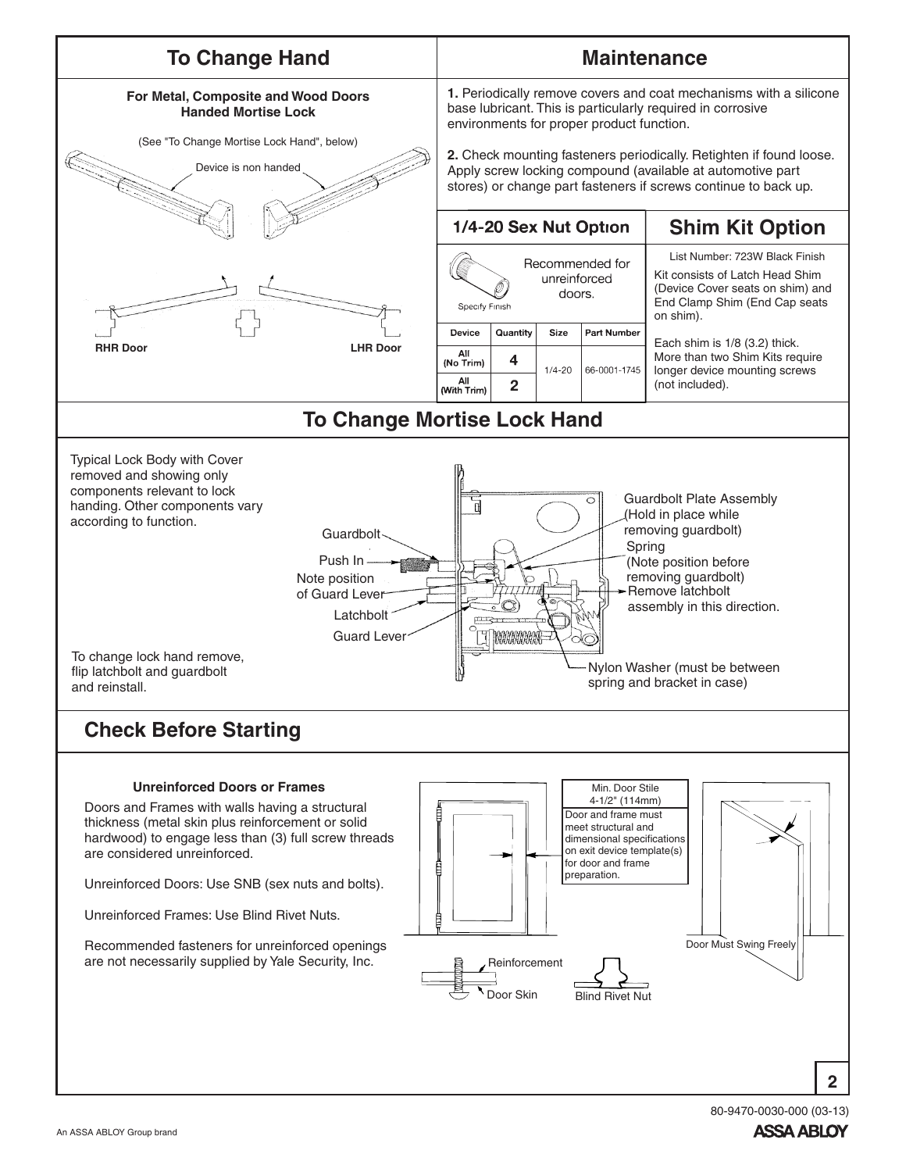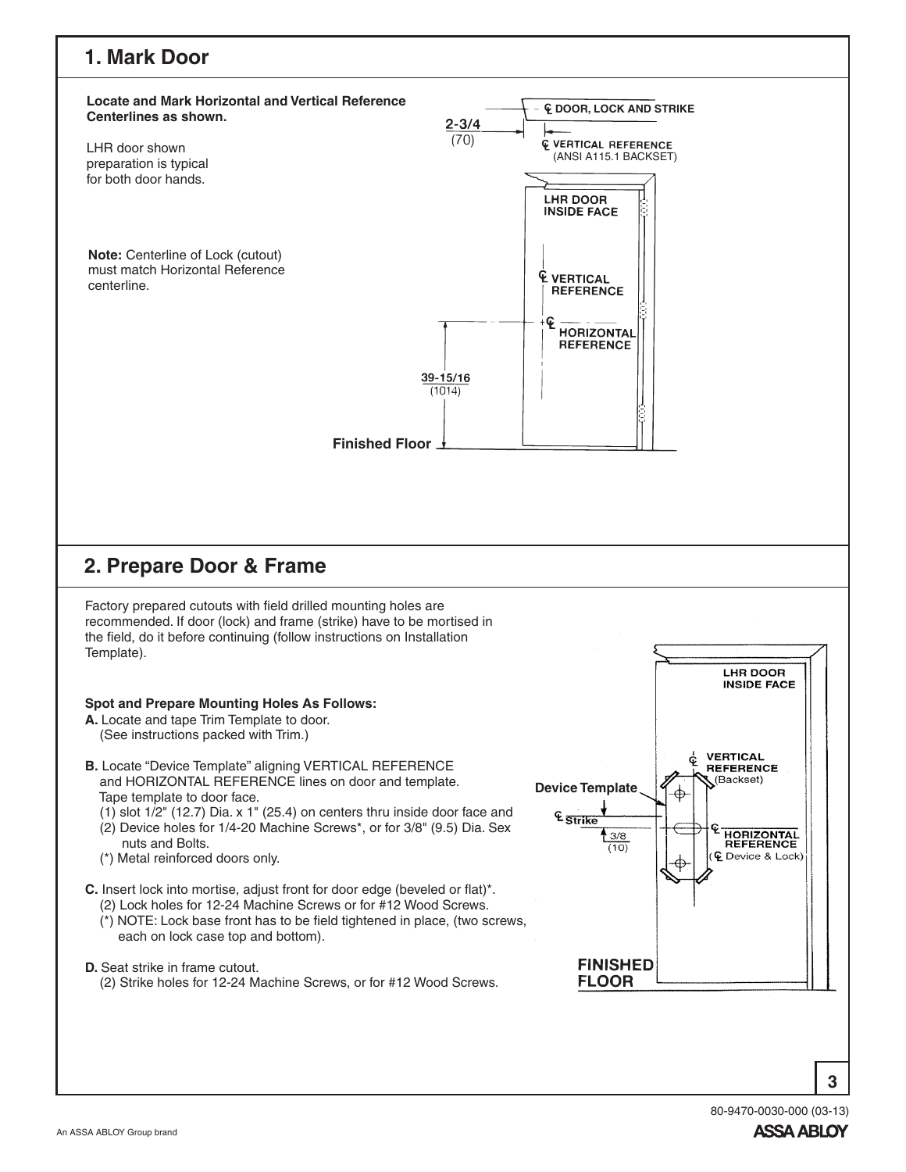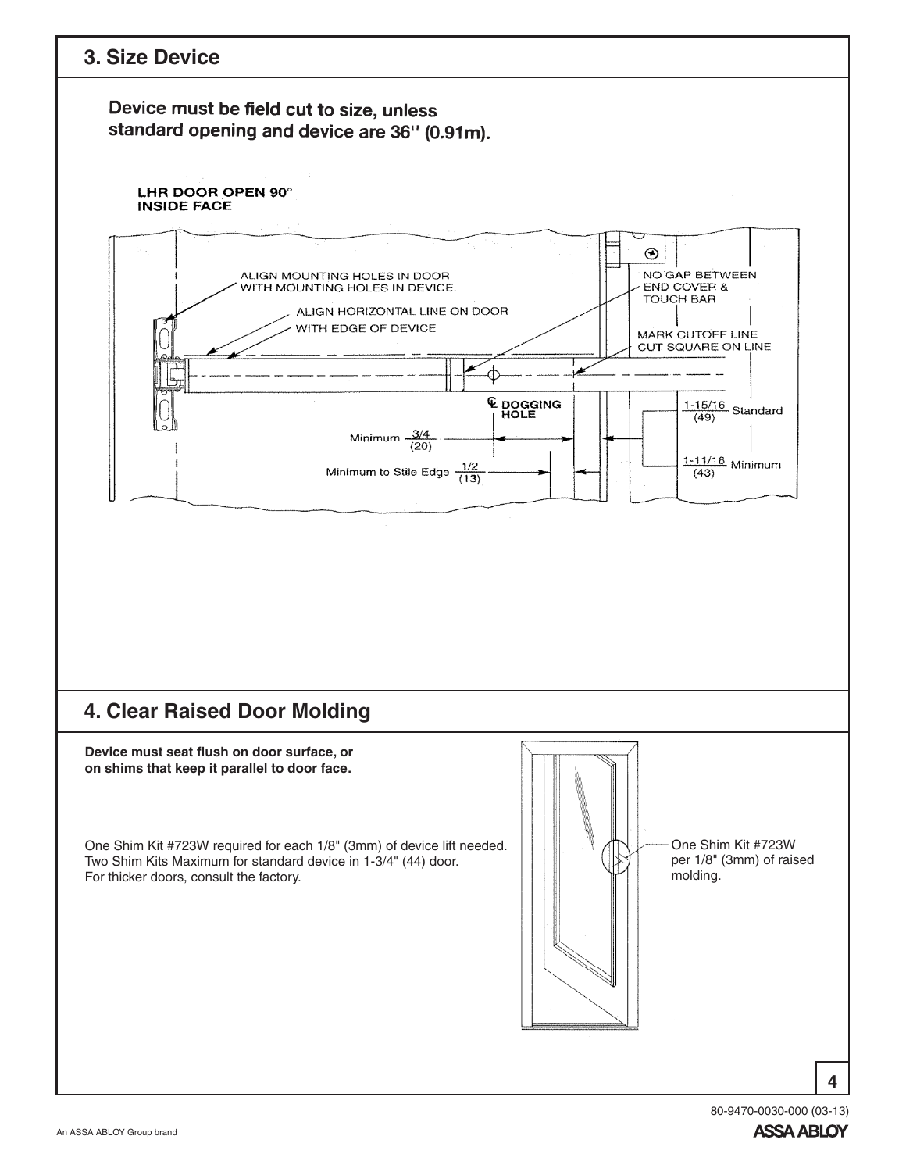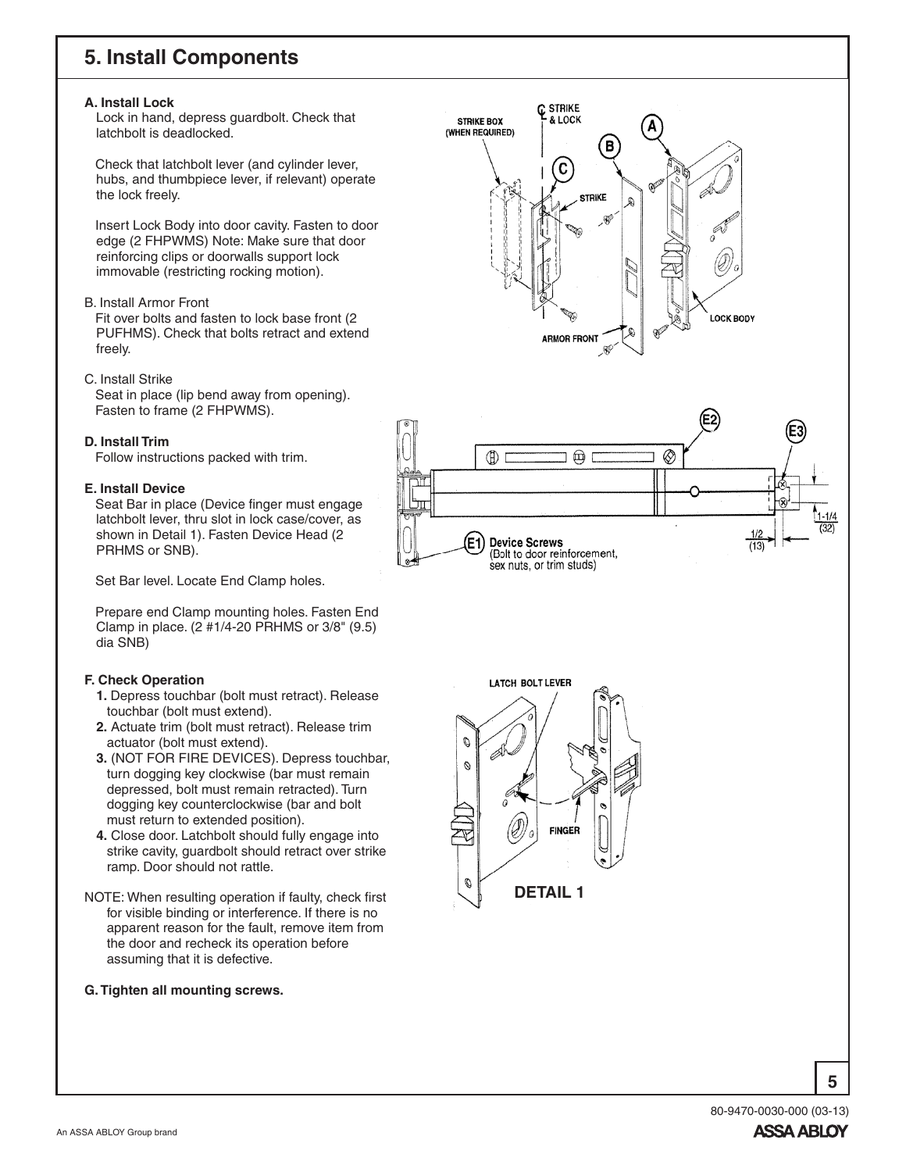# **5. Install Components**

#### **A. Install Lock**

Lock in hand, depress guardbolt. Check that latchbolt is deadlocked.

Check that latchbolt lever (and cylinder lever, hubs, and thumbpiece lever, if relevant) operate the lock freely.

Insert Lock Body into door cavity. Fasten to door edge (2 FHPWMS) Note: Make sure that door reinforcing clips or doorwalls support lock immovable (restricting rocking motion).

#### B. Install Armor Front

Fit over bolts and fasten to lock base front (2 PUFHMS). Check that bolts retract and extend freely.

#### C. Install Strike

Seat in place (lip bend away from opening). Fasten to frame (2 FHPWMS).

#### **D. Install Trim**

Follow instructions packed with trim.

### **E. Install Device**

Seat Bar in place (Device finger must engage latchbolt lever, thru slot in lock case/cover, as shown in Detail 1). Fasten Device Head (2 PRHMS or SNB).

Set Bar level. Locate End Clamp holes.

Prepare end Clamp mounting holes. Fasten End Clamp in place. (2 #1/4-20 PRHMS or 3/8" (9.5) dia SNB)

## **F. Check Operation**

- **1.** Depress touchbar (bolt must retract). Release touchbar (bolt must extend).
- **2.** Actuate trim (bolt must retract). Release trim actuator (bolt must extend).
- **3.** (NOT FOR FIRE DEVICES). Depress touchbar, turn dogging key clockwise (bar must remain depressed, bolt must remain retracted). Turn dogging key counterclockwise (bar and bolt must return to extended position).
- **4.** Close door. Latchbolt should fully engage into strike cavity, guardbolt should retract over strike ramp. Door should not rattle.
- NOTE: When resulting operation if faulty, check first for visible binding or interference. If there is no apparent reason for the fault, remove item from the door and recheck its operation before assuming that it is defective.

#### **G.Tighten all mounting screws.**





LATCH BOLT LEVER  $\mathcal{O}$ Ø **FINGER** Ø **DETAIL 1**

> 80-9470-0030-000 (03-13)**ASSA ABLOY**

**5**